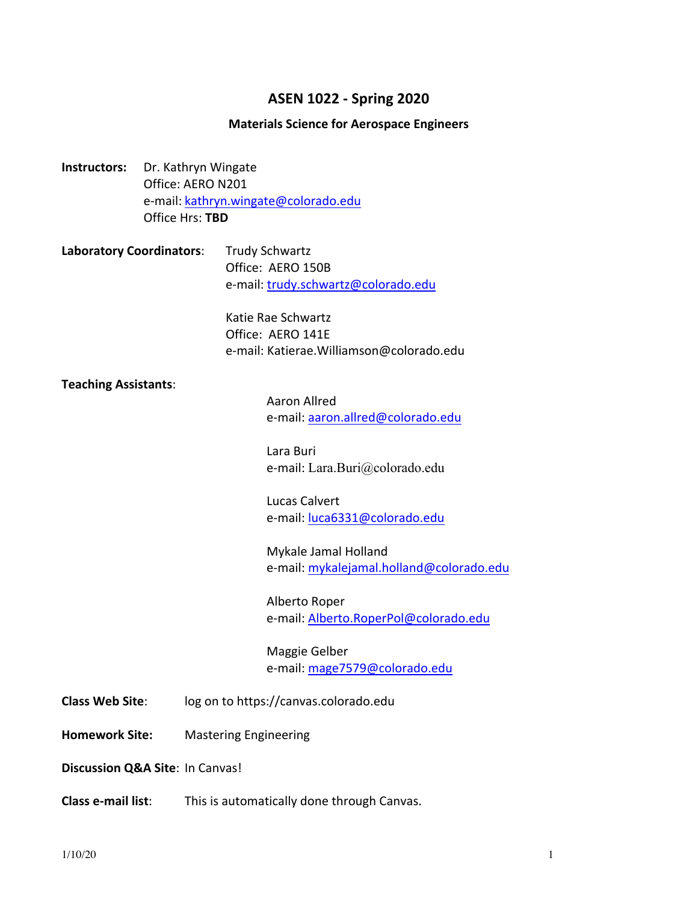# **ASEN 1022 - Spring 2020**

#### **Materials Science for Aerospace Engineers**

- **Instructors:** Dr. Kathryn Wingate Office: AERO N201 e-mail: kathryn.wingate@colorado.edu Office Hrs: **TBD**
- **Laboratory Coordinators:** Trudy Schwartz Office: AERO 150B e-mail: trudy.schwartz@colorado.edu

Katie Rae Schwartz Office: AERO 141E e-mail: Katierae.Williamson@colorado.edu

#### **Teaching Assistants**:

Aaron Allred e-mail: aaron.allred@colorado.edu

Lara Buri e-mail: Lara.Buri@colorado.edu

Lucas Calvert e-mail: luca6331@colorado.edu

Mykale Jamal Holland e-mail: mykalejamal.holland@colorado.edu

Alberto Roper e-mail: Alberto.RoperPol@colorado.edu

Maggie Gelber e-mail: mage7579@colorado.edu

- **Class Web Site:** log on to https://canvas.colorado.edu
- **Homework Site:** Mastering Engineering

**Discussion Q&A Site: In Canvas!** 

**Class e-mail list:** This is automatically done through Canvas.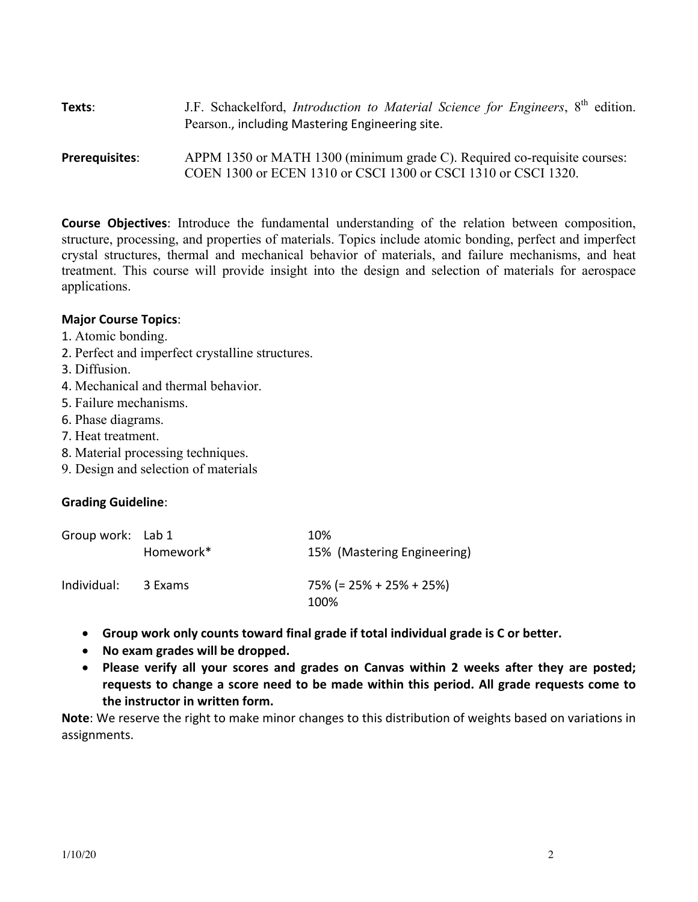| Texts:                | J.F. Schackelford, <i>Introduction to Material Science for Engineers</i> , 8 <sup>th</sup> edition.<br>Pearson., including Mastering Engineering site. |  |
|-----------------------|--------------------------------------------------------------------------------------------------------------------------------------------------------|--|
| <b>Prerequisites:</b> | APPM 1350 or MATH 1300 (minimum grade C). Required co-requisite courses:<br>COEN 1300 or ECEN 1310 or CSCI 1300 or CSCI 1310 or CSCI 1320.             |  |

**Course Objectives**: Introduce the fundamental understanding of the relation between composition, structure, processing, and properties of materials. Topics include atomic bonding, perfect and imperfect crystal structures, thermal and mechanical behavior of materials, and failure mechanisms, and heat treatment. This course will provide insight into the design and selection of materials for aerospace applications.

#### **Major Course Topics**:

- 1. Atomic bonding.
- 2. Perfect and imperfect crystalline structures.
- 3. Diffusion.
- 4. Mechanical and thermal behavior.
- 5. Failure mechanisms.
- 6. Phase diagrams.
- 7. Heat treatment.
- 8. Material processing techniques.
- 9. Design and selection of materials

## **Grading Guideline**:

| Group work: Lab 1 |           | 10%                                |
|-------------------|-----------|------------------------------------|
|                   | Homework* | 15% (Mastering Engineering)        |
| Individual:       | 3 Exams   | $75\%$ (= 25% + 25% + 25%)<br>100% |
|                   |           |                                    |

- Group work only counts toward final grade if total individual grade is C or better.
- No exam grades will be dropped.
- Please verify all your scores and grades on Canvas within 2 weeks after they are posted; requests to change a score need to be made within this period. All grade requests come to **the instructor in written form.**

**Note**: We reserve the right to make minor changes to this distribution of weights based on variations in assignments.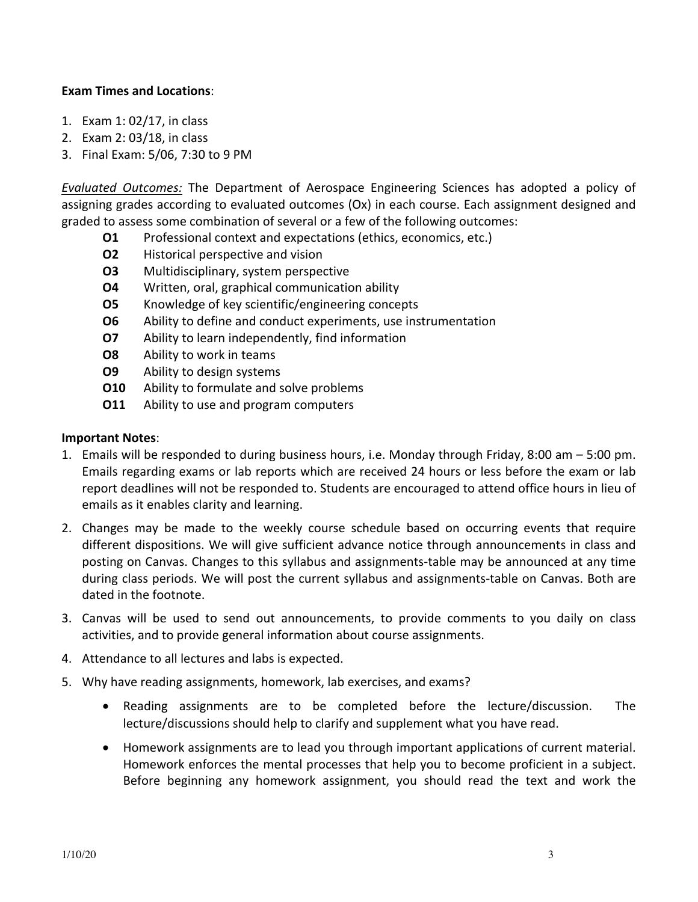### **Exam Times and Locations**:

- 1. Exam 1: 02/17, in class
- 2. Exam 2: 03/18, in class
- 3. Final Exam: 5/06, 7:30 to 9 PM

*Evaluated Outcomes:* The Department of Aerospace Engineering Sciences has adopted a policy of assigning grades according to evaluated outcomes (Ox) in each course. Each assignment designed and graded to assess some combination of several or a few of the following outcomes:

- **O1** Professional context and expectations (ethics, economics, etc.)
- **O2** Historical perspective and vision
- **O3** Multidisciplinary, system perspective
- **O4** Written, oral, graphical communication ability
- **O5** Knowledge of key scientific/engineering concepts
- **O6** Ability to define and conduct experiments, use instrumentation
- **O7** Ability to learn independently, find information
- **O8** Ability to work in teams
- **O9** Ability to design systems
- **O10** Ability to formulate and solve problems
- **O11** Ability to use and program computers

#### **Important Notes**:

- 1. Emails will be responded to during business hours, i.e. Monday through Friday, 8:00 am  $-$  5:00 pm. Emails regarding exams or lab reports which are received 24 hours or less before the exam or lab report deadlines will not be responded to. Students are encouraged to attend office hours in lieu of emails as it enables clarity and learning.
- 2. Changes may be made to the weekly course schedule based on occurring events that require different dispositions. We will give sufficient advance notice through announcements in class and posting on Canvas. Changes to this syllabus and assignments-table may be announced at any time during class periods. We will post the current syllabus and assignments-table on Canvas. Both are dated in the footnote.
- 3. Canvas will be used to send out announcements, to provide comments to you daily on class activities, and to provide general information about course assignments.
- 4. Attendance to all lectures and labs is expected.
- 5. Why have reading assignments, homework, lab exercises, and exams?
	- Reading assignments are to be completed before the lecture/discussion. The lecture/discussions should help to clarify and supplement what you have read.
	- Homework assignments are to lead you through important applications of current material. Homework enforces the mental processes that help you to become proficient in a subject. Before beginning any homework assignment, you should read the text and work the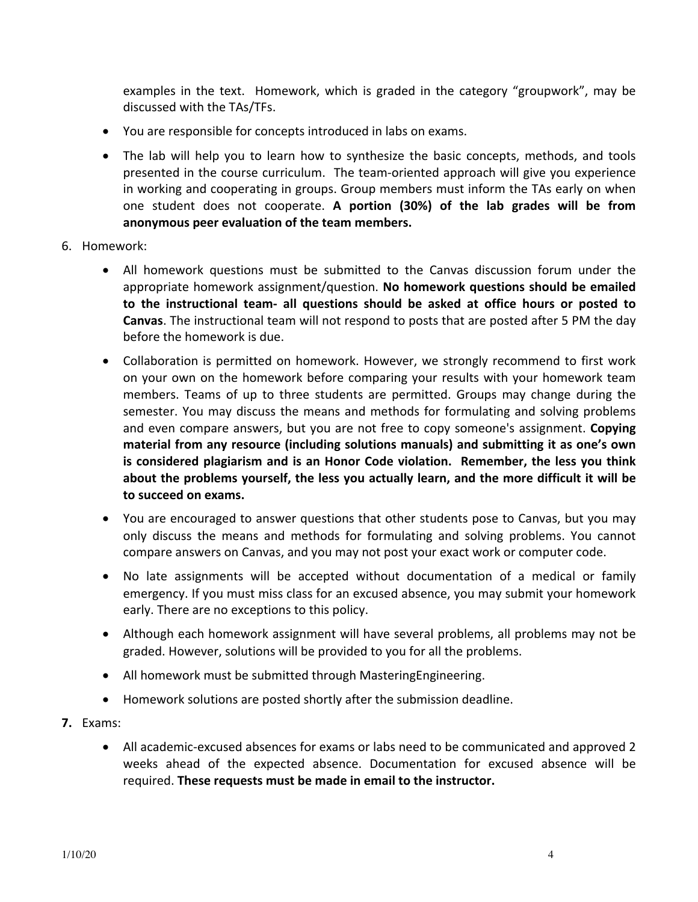examples in the text. Homework, which is graded in the category "groupwork", may be discussed with the TAs/TFs.

- You are responsible for concepts introduced in labs on exams.
- The lab will help you to learn how to synthesize the basic concepts, methods, and tools presented in the course curriculum. The team-oriented approach will give you experience in working and cooperating in groups. Group members must inform the TAs early on when one student does not cooperate. A portion (30%) of the lab grades will be from anonymous peer evaluation of the team members.
- 6. Homework:
	- All homework questions must be submitted to the Canvas discussion forum under the appropriate homework assignment/question. No homework questions should be emailed **to** the instructional team- all questions should be asked at office hours or posted to **Canvas**. The instructional team will not respond to posts that are posted after 5 PM the day before the homework is due.
	- Collaboration is permitted on homework. However, we strongly recommend to first work on your own on the homework before comparing your results with your homework team members. Teams of up to three students are permitted. Groups may change during the semester. You may discuss the means and methods for formulating and solving problems and even compare answers, but you are not free to copy someone's assignment. **Copying** material from any resource (including solutions manuals) and submitting it as one's own is considered plagiarism and is an Honor Code violation. Remember, the less you think about the problems yourself, the less you actually learn, and the more difficult it will be to succeed on exams.
	- You are encouraged to answer questions that other students pose to Canvas, but you may only discuss the means and methods for formulating and solving problems. You cannot compare answers on Canvas, and you may not post your exact work or computer code.
	- No late assignments will be accepted without documentation of a medical or family emergency. If you must miss class for an excused absence, you may submit your homework early. There are no exceptions to this policy.
	- Although each homework assignment will have several problems, all problems may not be graded. However, solutions will be provided to you for all the problems.
	- All homework must be submitted through MasteringEngineering.
	- Homework solutions are posted shortly after the submission deadline.
- **7.** Exams:
	- All academic-excused absences for exams or labs need to be communicated and approved 2 weeks ahead of the expected absence. Documentation for excused absence will be required. **These requests must be made in email to the instructor.**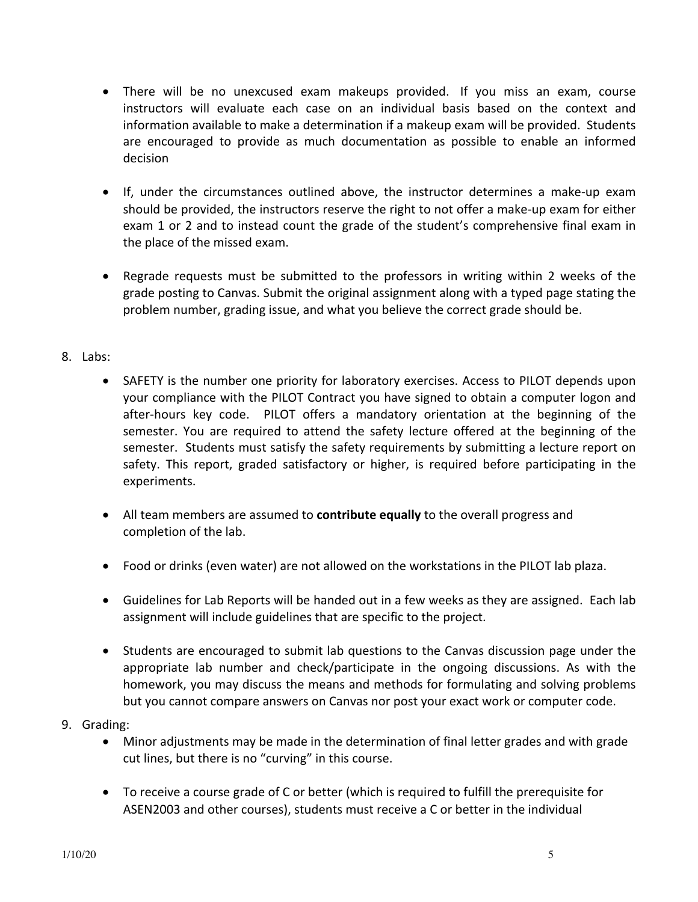- There will be no unexcused exam makeups provided. If you miss an exam, course instructors will evaluate each case on an individual basis based on the context and information available to make a determination if a makeup exam will be provided. Students are encouraged to provide as much documentation as possible to enable an informed decision
- If, under the circumstances outlined above, the instructor determines a make-up exam should be provided, the instructors reserve the right to not offer a make-up exam for either exam 1 or 2 and to instead count the grade of the student's comprehensive final exam in the place of the missed exam.
- Regrade requests must be submitted to the professors in writing within 2 weeks of the grade posting to Canvas. Submit the original assignment along with a typed page stating the problem number, grading issue, and what you believe the correct grade should be.

## 8. Labs:

- SAFETY is the number one priority for laboratory exercises. Access to PILOT depends upon your compliance with the PILOT Contract you have signed to obtain a computer logon and after-hours key code. PILOT offers a mandatory orientation at the beginning of the semester. You are required to attend the safety lecture offered at the beginning of the semester. Students must satisfy the safety requirements by submitting a lecture report on safety. This report, graded satisfactory or higher, is required before participating in the experiments.
- All team members are assumed to **contribute equally** to the overall progress and completion of the lab.
- Food or drinks (even water) are not allowed on the workstations in the PILOT lab plaza.
- Guidelines for Lab Reports will be handed out in a few weeks as they are assigned. Each lab assignment will include guidelines that are specific to the project.
- Students are encouraged to submit lab questions to the Canvas discussion page under the appropriate lab number and check/participate in the ongoing discussions. As with the homework, you may discuss the means and methods for formulating and solving problems but you cannot compare answers on Canvas nor post your exact work or computer code.
- 9. Grading:
	- Minor adjustments may be made in the determination of final letter grades and with grade cut lines, but there is no "curving" in this course.
	- To receive a course grade of C or better (which is required to fulfill the prerequisite for ASEN2003 and other courses), students must receive a C or better in the individual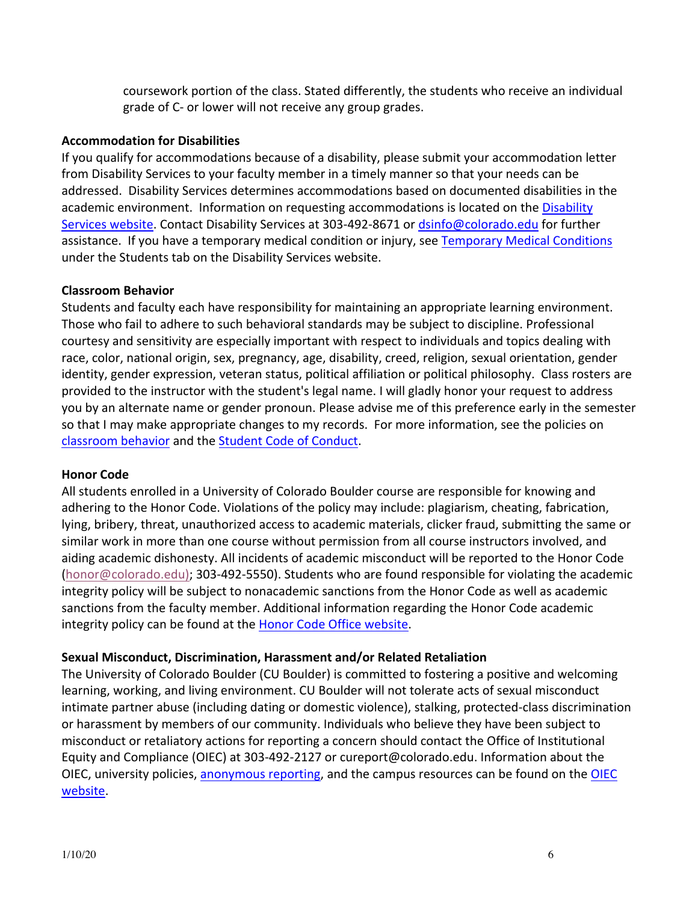coursework portion of the class. Stated differently, the students who receive an individual grade of C- or lower will not receive any group grades.

## **Accommodation for Disabilities**

If you qualify for accommodations because of a disability, please submit your accommodation letter from Disability Services to your faculty member in a timely manner so that your needs can be addressed. Disability Services determines accommodations based on documented disabilities in the academic environment. Information on requesting accommodations is located on the Disability Services website. Contact Disability Services at 303-492-8671 or dsinfo@colorado.edu for further assistance. If you have a temporary medical condition or injury, see Temporary Medical Conditions under the Students tab on the Disability Services website.

### **Classroom Behavior**

Students and faculty each have responsibility for maintaining an appropriate learning environment. Those who fail to adhere to such behavioral standards may be subject to discipline. Professional courtesy and sensitivity are especially important with respect to individuals and topics dealing with race, color, national origin, sex, pregnancy, age, disability, creed, religion, sexual orientation, gender identity, gender expression, veteran status, political affiliation or political philosophy. Class rosters are provided to the instructor with the student's legal name. I will gladly honor your request to address you by an alternate name or gender pronoun. Please advise me of this preference early in the semester so that I may make appropriate changes to my records. For more information, see the policies on classroom behavior and the Student Code of Conduct.

#### **Honor Code**

All students enrolled in a University of Colorado Boulder course are responsible for knowing and adhering to the Honor Code. Violations of the policy may include: plagiarism, cheating, fabrication, lying, bribery, threat, unauthorized access to academic materials, clicker fraud, submitting the same or similar work in more than one course without permission from all course instructors involved, and aiding academic dishonesty. All incidents of academic misconduct will be reported to the Honor Code  $(honor@colorado.edu);$  303-492-5550). Students who are found responsible for violating the academic integrity policy will be subject to nonacademic sanctions from the Honor Code as well as academic sanctions from the faculty member. Additional information regarding the Honor Code academic integrity policy can be found at the Honor Code Office website.

## **Sexual Misconduct, Discrimination, Harassment and/or Related Retaliation**

The University of Colorado Boulder (CU Boulder) is committed to fostering a positive and welcoming learning, working, and living environment. CU Boulder will not tolerate acts of sexual misconduct intimate partner abuse (including dating or domestic violence), stalking, protected-class discrimination or harassment by members of our community. Individuals who believe they have been subject to misconduct or retaliatory actions for reporting a concern should contact the Office of Institutional Equity and Compliance (OIEC) at 303-492-2127 or cureport@colorado.edu. Information about the OIEC, university policies, anonymous reporting, and the campus resources can be found on the OIEC website.